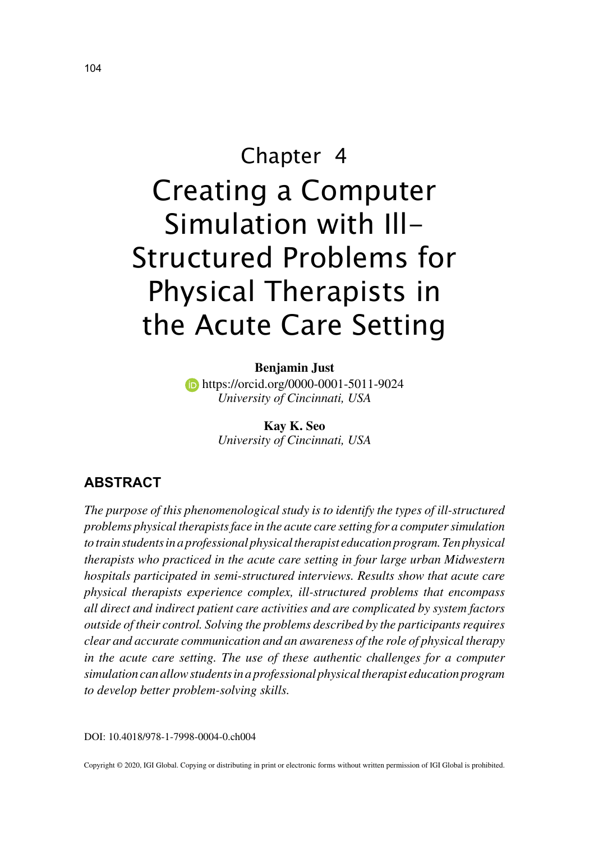# Chapter 4 Creating a Computer Simulation with Ill-Structured Problems for Physical Therapists in the Acute Care Setting

#### **Benjamin Just**

**https://orcid.org/0000-0001-5011-9024** *University of Cincinnati, USA*

> **Kay K. Seo** *University of Cincinnati, USA*

## **ABSTRACT**

*The purpose of this phenomenological study is to identify the types of ill-structured problems physical therapists face in the acute care setting for a computer simulation to train students in a professional physical therapist education program. Ten physical therapists who practiced in the acute care setting in four large urban Midwestern hospitals participated in semi-structured interviews. Results show that acute care physical therapists experience complex, ill-structured problems that encompass all direct and indirect patient care activities and are complicated by system factors outside of their control. Solving the problems described by the participants requires clear and accurate communication and an awareness of the role of physical therapy in the acute care setting. The use of these authentic challenges for a computer simulation can allow students in a professional physical therapist education program to develop better problem-solving skills.*

DOI: 10.4018/978-1-7998-0004-0.ch004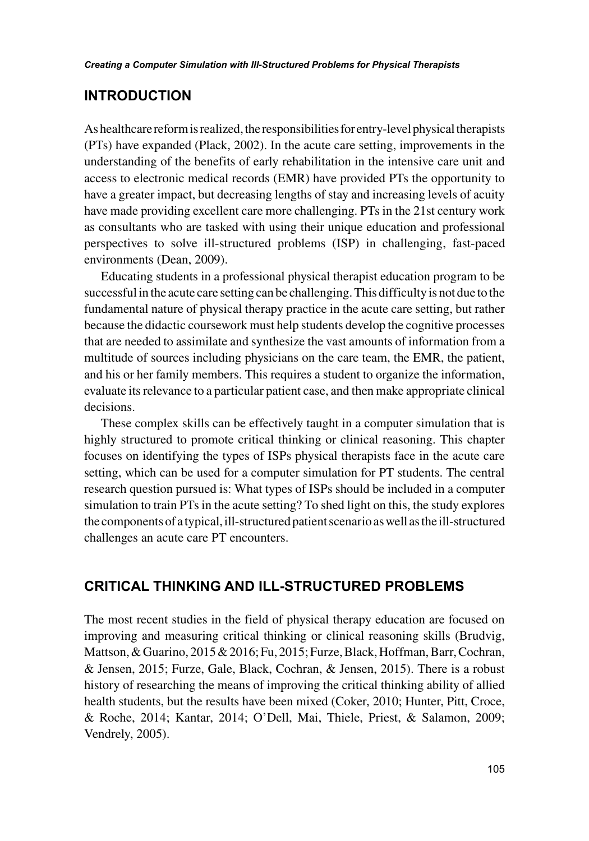## **INTRODUCTION**

As healthcare reform is realized, the responsibilities for entry-level physical therapists (PTs) have expanded (Plack, 2002). In the acute care setting, improvements in the understanding of the benefits of early rehabilitation in the intensive care unit and access to electronic medical records (EMR) have provided PTs the opportunity to have a greater impact, but decreasing lengths of stay and increasing levels of acuity have made providing excellent care more challenging. PTs in the 21st century work as consultants who are tasked with using their unique education and professional perspectives to solve ill-structured problems (ISP) in challenging, fast-paced environments (Dean, 2009).

Educating students in a professional physical therapist education program to be successful in the acute care setting can be challenging. This difficulty is not due to the fundamental nature of physical therapy practice in the acute care setting, but rather because the didactic coursework must help students develop the cognitive processes that are needed to assimilate and synthesize the vast amounts of information from a multitude of sources including physicians on the care team, the EMR, the patient, and his or her family members. This requires a student to organize the information, evaluate its relevance to a particular patient case, and then make appropriate clinical decisions.

These complex skills can be effectively taught in a computer simulation that is highly structured to promote critical thinking or clinical reasoning. This chapter focuses on identifying the types of ISPs physical therapists face in the acute care setting, which can be used for a computer simulation for PT students. The central research question pursued is: What types of ISPs should be included in a computer simulation to train PTs in the acute setting? To shed light on this, the study explores the components of a typical, ill-structured patient scenario as well as the ill-structured challenges an acute care PT encounters.

## **CRITICAL THINKING AND ILL-STRUCTURED PROBLEMS**

The most recent studies in the field of physical therapy education are focused on improving and measuring critical thinking or clinical reasoning skills (Brudvig, Mattson, & Guarino, 2015 & 2016; Fu, 2015; Furze, Black, Hoffman, Barr, Cochran, & Jensen, 2015; Furze, Gale, Black, Cochran, & Jensen, 2015). There is a robust history of researching the means of improving the critical thinking ability of allied health students, but the results have been mixed (Coker, 2010; Hunter, Pitt, Croce, & Roche, 2014; Kantar, 2014; O'Dell, Mai, Thiele, Priest, & Salamon, 2009; Vendrely, 2005).